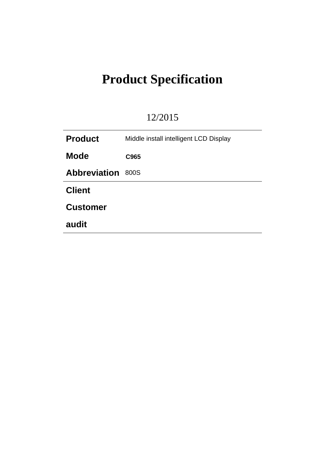# **Product Specification**

# 12/2015

| <b>Product</b>           | Middle install intelligent LCD Display |  |  |
|--------------------------|----------------------------------------|--|--|
| <b>Mode</b>              | C965                                   |  |  |
| <b>Abbreviation 800S</b> |                                        |  |  |
| <b>Client</b>            |                                        |  |  |
| <b>Customer</b>          |                                        |  |  |
| audit                    |                                        |  |  |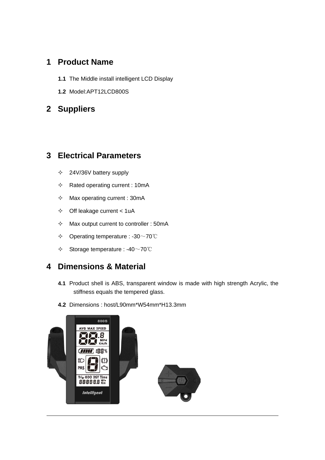### **1 Product Name**

- **1.1** The Middle install intelligent LCD Display
- **1.2** Model:APT12LCD800S

### **2 Suppliers**

### **3 Electrical Parameters**

- $\div$  24V/36V battery supply
- $\Diamond$  Rated operating current : 10mA
- $\lozenge$  Max operating current : 30mA
- $\div$  Off leakage current < 1uA
- $\lozenge$  Max output current to controller : 50mA
- Operating temperature : -30~70℃
- Storage temperature : -40~70℃

### **4 Dimensions & Material**

- **4.1** Product shell is ABS, transparent window is made with high strength Acrylic, the stiffness equals the tempered glass.
- **4.2** Dimensions : host/L90mm\*W54mm\*H13.3mm

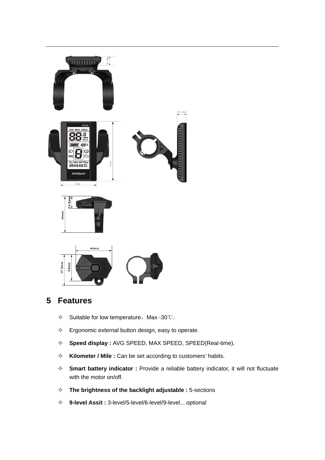

### **5 Features**

- $\div$  Suitable for low temperature, Max -30℃.
- $\Diamond$  Ergonomic external button design, easy to operate.
- **Speed display :** AVG SPEED, MAX SPEED, SPEED(Real-time).
- **Kilometer / Mile :** Can be set according to customers' habits.
- **Smart battery indicator :** Provide a reliable battery indicator, it will not fluctuate with the motor on/off.
- **The brightness of the backlight adjustable :** 5-sections
- **9-level Assit :** 3-level/5-level/6-level/9-level... optional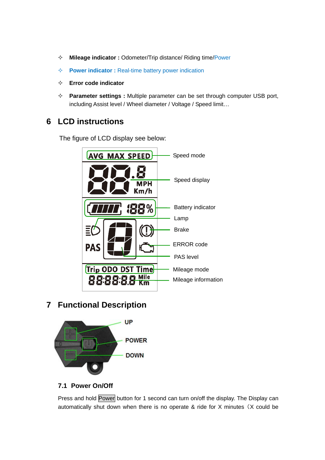- **Mileage indicator :** Odometer/Trip distance/ Riding time/Power
- **Power indicator :** Real-time battery power indication
- **Error code indicator**
- **Parameter settings :** Multiple parameter can be set through computer USB port, including Assist level / Wheel diameter / Voltage / Speed limit…

### **6 LCD instructions**

The figure of LCD display see below:



### **7 Functional Description**



#### **7.1 Power On/Off**

Press and hold Power button for 1 second can turn on/off the display. The Display can automatically shut down when there is no operate & ride for X minutes (X could be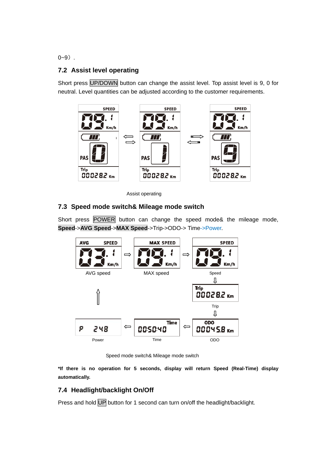$0 - 9$ .

#### **7.2 Assist level operating**

Short press UP/DOWN button can change the assist level. Top assist level is 9, 0 for neutral. Level quantities can be adjusted according to the customer requirements.



Assist operating

#### **7.3 Speed mode switch& Mileage mode switch**

Short press POWER button can change the speed mode& the mileage mode, **Speed**->**AVG Speed**->**MAX Speed**->Trip->ODO-> Time->Power.



Speed mode switch& Mileage mode switch

**\*If there is no operation for 5 seconds, display will return Speed (Real-Time) display automatically.** 

#### **7.4 Headlight/backlight On/Off**

Press and hold UP button for 1 second can turn on/off the headlight/backlight.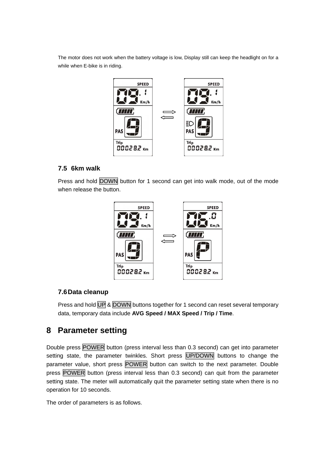The motor does not work when the battery voltage is low, Display still can keep the headlight on for a while when E-bike is in riding.



#### **7.5 6km walk**

Press and hold DOWN button for 1 second can get into walk mode, out of the mode when release the button.



#### **7.6 Data cleanup**

Press and hold UP & DOWN buttons together for 1 second can reset several temporary data, temporary data include **AVG Speed / MAX Speed / Trip / Time**.

### **8 Parameter setting**

Double press POWER button (press interval less than 0.3 second) can get into parameter setting state, the parameter twinkles. Short press UP/DOWN buttons to change the parameter value, short press POWER button can switch to the next parameter. Double press POWER button (press interval less than 0.3 second) can quit from the parameter setting state. The meter will automatically quit the parameter setting state when there is no operation for 10 seconds.

The order of parameters is as follows.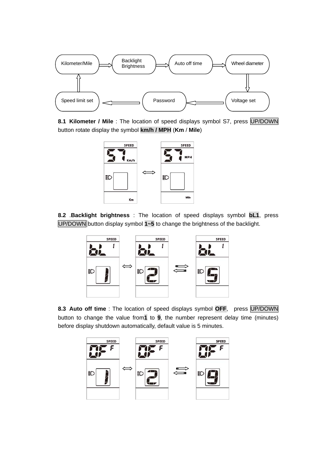

**8.1 Kilometer / Mile** : The location of speed displays symbol S7, press UP/DOWN button rotate display the symbol **km/h / MPH** (**Km** / **Mile**)



**8.2** .**Backlight brightness** : The location of speed displays symbol **bL1**, press UP/DOWN button display symbol **1~5** to change the brightness of the backlight.



**8.3 Auto off time** : The location of speed displays symbol **OFF**, press UP/DOWN button to change the value from**1** to **9**, the number represent delay time (minutes) before display shutdown automatically, default value is 5 minutes.

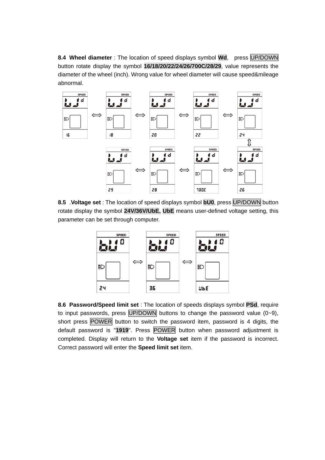**8.4 Wheel diameter** : The location of speed displays symbol **Wd**, press UP/DOWN button rotate display the symbol **16/18/20/22/24/26/700C/28/29**, value represents the diameter of the wheel (inch). Wrong value for wheel diameter will cause speed&mileage abnormal.



**8.5** .**Voltage set** : The location of speed displays symbol **bU0**, press UP/DOWN button rotate display the symbol **24V/36V/UbE, UbE** means user-defined voltage setting, this parameter can be set through computer.



**8.6 Password/Speed limit set** : The location of speeds displays symbol **PSd**, require to input passwords, press UP/DOWN buttons to change the password value (0~9), short press POWER button to switch the password item, password is 4 digits, the default password is "**1919**". Press POWER button when password adjustment is completed. Display will return to the **Voltage set** item if the password is incorrect. Correct password will enter the **Speed limit set** item.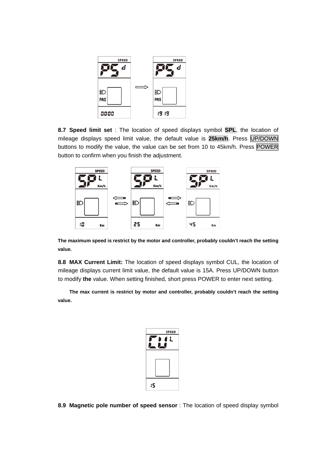

**8.7 Speed limit set** : The location of speed displays symbol **SPL**, the location of mileage displays speed limit value, the default value is **25km/h**. Press UP/DOWN buttons to modify the value, the value can be set from 10 to 45km/h. Press POWER button to confirm when you finish the adjustment.



**The maximum speed is restrict by the motor and controller, probably couldn't reach the setting value.** 

**8.8 MAX Current Limit:** The location of speed displays symbol CUL, the location of mileage displays current limit value, the default value is 15A. Press UP/DOWN button to modify **the** value. When setting finished, short press POWER to enter next setting.

**The max current is restrict by motor and controller, probably couldn't reach the setting value.** 



**8.9 Magnetic pole number of speed sensor** : The location of speed display symbol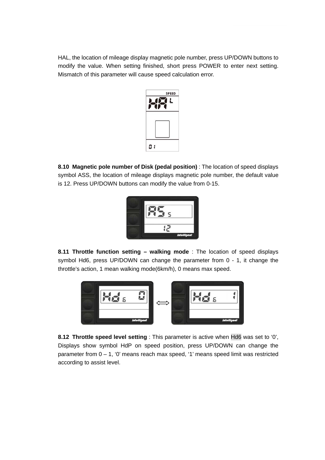HAL, the location of mileage display magnetic pole number, press UP/DOWN buttons to modify the value. When setting finished, short press POWER to enter next setting. Mismatch of this parameter will cause speed calculation error.



**8.10 Magnetic pole number of Disk (pedal position)** : The location of speed displays symbol ASS, the location of mileage displays magnetic pole number, the default value is 12. Press UP/DOWN buttons can modify the value from 0-15.



**8.11 Throttle function setting – walking mode** : The location of speed displays symbol Hd6, press UP/DOWN can change the parameter from 0 - 1, it change the throttle's action, 1 mean walking mode(6km/h), 0 means max speed.



**8.12 Throttle speed level setting** : This parameter is active when Hd6 was set to '0', Displays show symbol HdP on speed position, press UP/DOWN can change the parameter from  $0 - 1$ , '0' means reach max speed, '1' means speed limit was restricted according to assist level.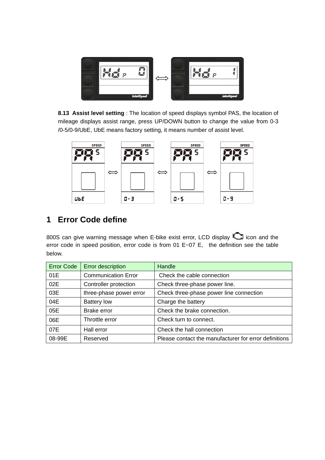

**8.13 Assist level setting** : The location of speed displays symbol PAS, the location of mileage displays assist range, press UP/DOWN button to change the value from 0-3 /0-5/0-9/UbE, UbE means factory setting, it means number of assist level.



### **1 Error Code define**

800S can give warning message when E-bike exist error, LCD display icon and the error code in speed position, error code is from 01 E~07 E, the definition see the table below.

| <b>Error Code</b> | <b>Error description</b>   | Handle                                                |  |
|-------------------|----------------------------|-------------------------------------------------------|--|
| 01E               | <b>Communication Error</b> | Check the cable connection                            |  |
| 02E               | Controller protection      | Check three-phase power line.                         |  |
| 03E               | three-phase power error    | Check three-phase power line connection               |  |
| 04E               | <b>Battery low</b>         | Charge the battery                                    |  |
| 05E               | Brake error                | Check the brake connection.                           |  |
| 06E               | Throttle error             | Check turn to connect.                                |  |
| 07E               | Hall error                 | Check the hall connection                             |  |
| 08-99E            | Reserved                   | Please contact the manufacturer for error definitions |  |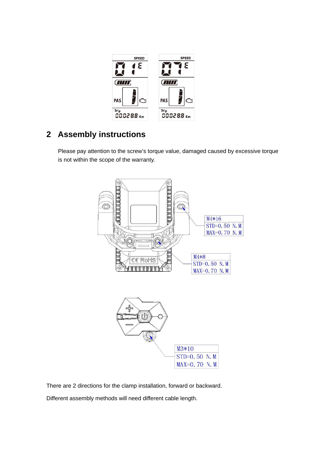

### **2 Assembly instructions**

Please pay attention to the screw's torque value, damaged caused by excessive torque is not within the scope of the warranty.



There are 2 directions for the clamp installation, forward or backward.

Different assembly methods will need different cable length.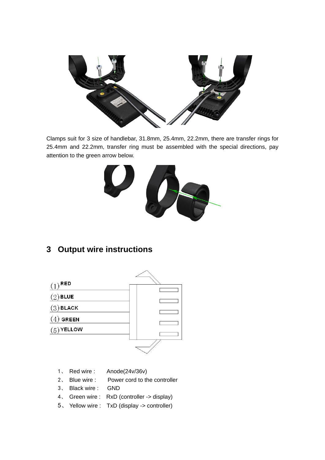

Clamps suit for 3 size of handlebar, 31.8mm, 25.4mm, 22.2mm, there are transfer rings for 25.4mm and 22.2mm, transfer ring must be assembled with the special directions, pay attention to the green arrow below.



### **3 Output wire instructions**



- 1、 Red wire : Anode(24v/36v)
- 2、 Blue wire : Power cord to the controller
- 3、 Black wire : GND
- 4、 Green wire : RxD (controller -> display)
- 5、 Yellow wire : TxD (display -> controller)